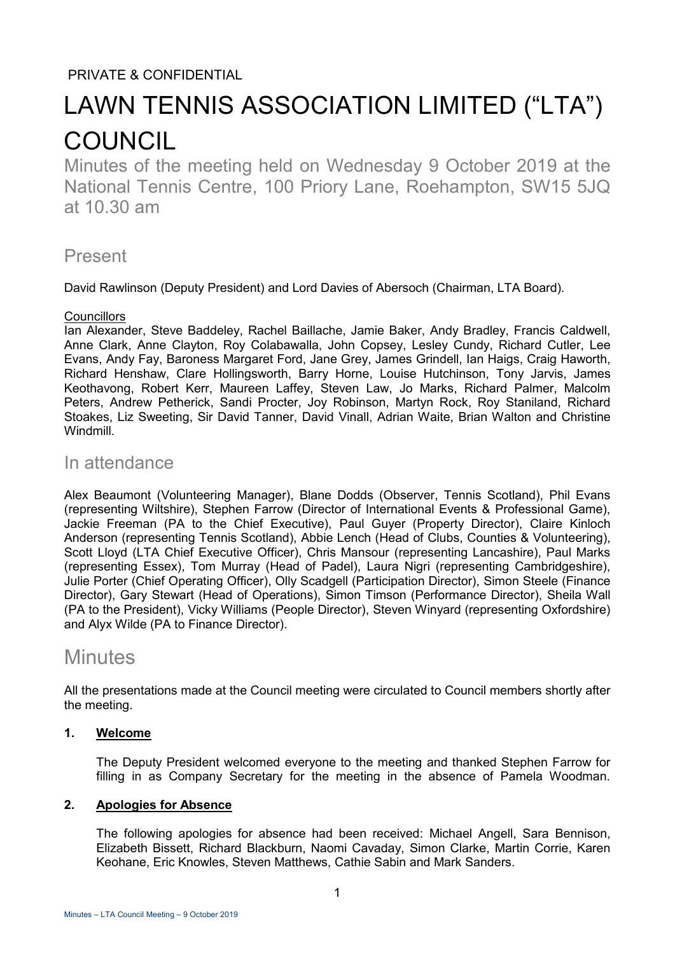# PRIVATE & CONFIDENTIAL

# LAWN TENNIS ASSOCIATION LIMITED ("LTA") **COUNCIL**

Minutes of the meeting held on Wednesday 9 October 2019 at the National Tennis Centre, 100 Priory Lane, Roehampton, SW15 5JQ at 10.30 am

# Present

David Rawlinson (Deputy President) and Lord Davies of Abersoch (Chairman, LTA Board).

# **Councillors**

Ian Alexander, Steve Baddeley, Rachel Baillache, Jamie Baker, Andy Bradley, Francis Caldwell, Anne Clark, Anne Clayton, Roy Colabawalla, John Copsey, Lesley Cundy, Richard Cutler, Lee Evans, Andy Fay, Baroness Margaret Ford, Jane Grey, James Grindell, Ian Haigs, Craig Haworth, Richard Henshaw, Clare Hollingsworth, Barry Horne, Louise Hutchinson, Tony Jarvis, James Keothavong, Robert Kerr, Maureen Laffey, Steven Law, Jo Marks, Richard Palmer, Malcolm Peters, Andrew Petherick, Sandi Procter, Joy Robinson, Martyn Rock, Roy Staniland, Richard Stoakes, Liz Sweeting, Sir David Tanner, David Vinall, Adrian Waite, Brian Walton and Christine Windmill.

# In attendance

Alex Beaumont (Volunteering Manager), Blane Dodds (Observer, Tennis Scotland), Phil Evans (representing Wiltshire), Stephen Farrow (Director of International Events & Professional Game), Jackie Freeman (PA to the Chief Executive), Paul Guyer (Property Director), Claire Kinloch Anderson (representing Tennis Scotland), Abbie Lench (Head of Clubs, Counties & Volunteering), Scott Lloyd (LTA Chief Executive Officer), Chris Mansour (representing Lancashire), Paul Marks (representing Essex), Tom Murray (Head of Padel), Laura Nigri (representing Cambridgeshire), Julie Porter (Chief Operating Officer), Olly Scadgell (Participation Director), Simon Steele (Finance Director), Gary Stewart (Head of Operations), Simon Timson (Performance Director), Sheila Wall (PA to the President), Vicky Williams (People Director), Steven Winyard (representing Oxfordshire) and Alyx Wilde (PA to Finance Director).

# **Minutes**

All the presentations made at the Council meeting were circulated to Council members shortly after the meeting.

# **1. Welcome**

The Deputy President welcomed everyone to the meeting and thanked Stephen Farrow for filling in as Company Secretary for the meeting in the absence of Pamela Woodman.

# **2. Apologies for Absence**

The following apologies for absence had been received: Michael Angell, Sara Bennison, Elizabeth Bissett, Richard Blackburn, Naomi Cavaday, Simon Clarke, Martin Corrie, Karen Keohane, Eric Knowles, Steven Matthews, Cathie Sabin and Mark Sanders.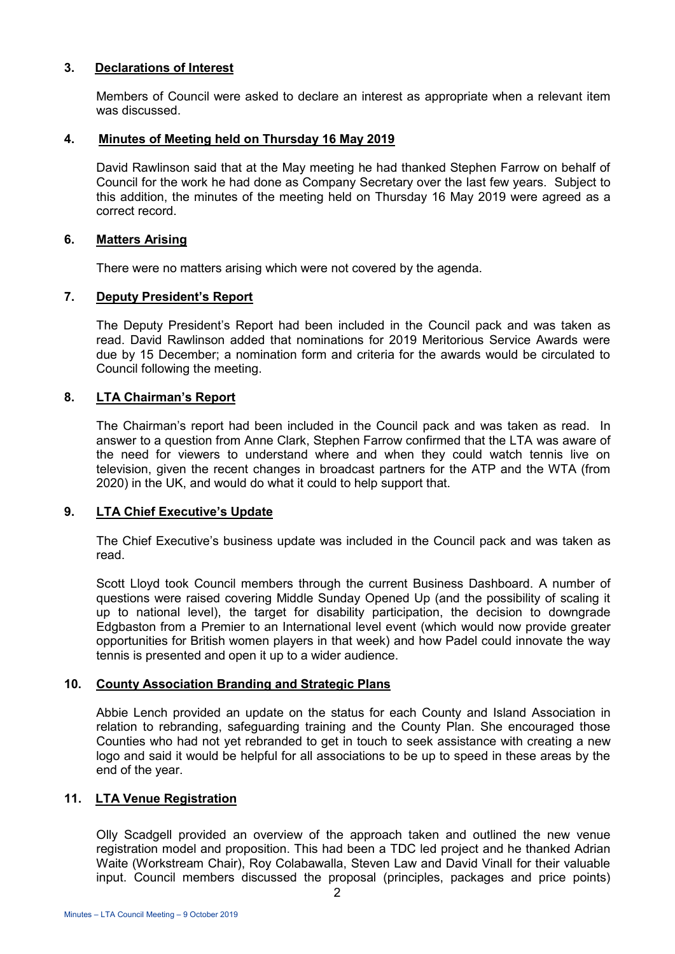## **3. Declarations of Interest**

Members of Council were asked to declare an interest as appropriate when a relevant item was discussed.

#### **4. Minutes of Meeting held on Thursday 16 May 2019**

David Rawlinson said that at the May meeting he had thanked Stephen Farrow on behalf of Council for the work he had done as Company Secretary over the last few years. Subject to this addition, the minutes of the meeting held on Thursday 16 May 2019 were agreed as a correct record.

#### **6. Matters Arising**

There were no matters arising which were not covered by the agenda.

# **7. Deputy President's Report**

The Deputy President's Report had been included in the Council pack and was taken as read. David Rawlinson added that nominations for 2019 Meritorious Service Awards were due by 15 December; a nomination form and criteria for the awards would be circulated to Council following the meeting.

#### **8. LTA Chairman's Report**

The Chairman's report had been included in the Council pack and was taken as read. In answer to a question from Anne Clark, Stephen Farrow confirmed that the LTA was aware of the need for viewers to understand where and when they could watch tennis live on television, given the recent changes in broadcast partners for the ATP and the WTA (from 2020) in the UK, and would do what it could to help support that.

# **9. LTA Chief Executive's Update**

The Chief Executive's business update was included in the Council pack and was taken as read.

Scott Lloyd took Council members through the current Business Dashboard. A number of questions were raised covering Middle Sunday Opened Up (and the possibility of scaling it up to national level), the target for disability participation, the decision to downgrade Edgbaston from a Premier to an International level event (which would now provide greater opportunities for British women players in that week) and how Padel could innovate the way tennis is presented and open it up to a wider audience.

# **10. County Association Branding and Strategic Plans**

Abbie Lench provided an update on the status for each County and Island Association in relation to rebranding, safeguarding training and the County Plan. She encouraged those Counties who had not yet rebranded to get in touch to seek assistance with creating a new logo and said it would be helpful for all associations to be up to speed in these areas by the end of the year.

# **11. LTA Venue Registration**

Olly Scadgell provided an overview of the approach taken and outlined the new venue registration model and proposition. This had been a TDC led project and he thanked Adrian Waite (Workstream Chair), Roy Colabawalla, Steven Law and David Vinall for their valuable input. Council members discussed the proposal (principles, packages and price points)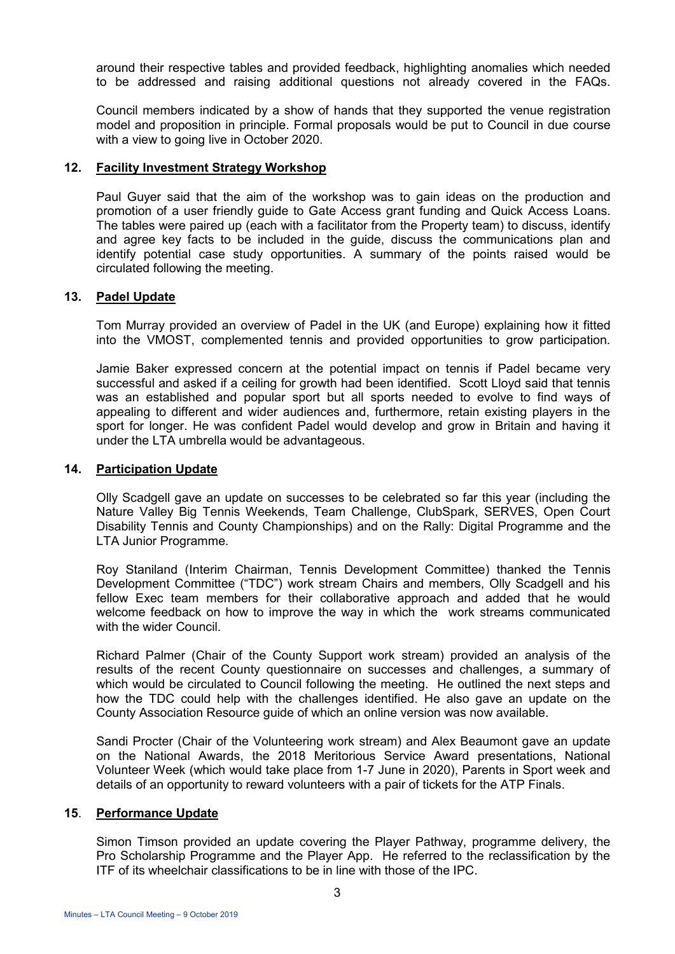around their respective tables and provided feedback, highlighting anomalies which needed to be addressed and raising additional questions not already covered in the FAQs.

Council members indicated by a show of hands that they supported the venue registration model and proposition in principle. Formal proposals would be put to Council in due course with a view to going live in October 2020.

#### **12. Facility Investment Strategy Workshop**

Paul Guyer said that the aim of the workshop was to gain ideas on the production and promotion of a user friendly guide to Gate Access grant funding and Quick Access Loans. The tables were paired up (each with a facilitator from the Property team) to discuss, identify and agree key facts to be included in the guide, discuss the communications plan and identify potential case study opportunities. A summary of the points raised would be circulated following the meeting.

#### **13. Padel Update**

Tom Murray provided an overview of Padel in the UK (and Europe) explaining how it fitted into the VMOST, complemented tennis and provided opportunities to grow participation.

Jamie Baker expressed concern at the potential impact on tennis if Padel became very successful and asked if a ceiling for growth had been identified. Scott Lloyd said that tennis was an established and popular sport but all sports needed to evolve to find ways of appealing to different and wider audiences and, furthermore, retain existing players in the sport for longer. He was confident Padel would develop and grow in Britain and having it under the LTA umbrella would be advantageous.

#### **14. Participation Update**

Olly Scadgell gave an update on successes to be celebrated so far this year (including the Nature Valley Big Tennis Weekends, Team Challenge, ClubSpark, SERVES, Open Court Disability Tennis and County Championships) and on the Rally: Digital Programme and the LTA Junior Programme.

Roy Staniland (Interim Chairman, Tennis Development Committee) thanked the Tennis Development Committee ("TDC") work stream Chairs and members, Olly Scadgell and his fellow Exec team members for their collaborative approach and added that he would welcome feedback on how to improve the way in which the work streams communicated with the wider Council.

Richard Palmer (Chair of the County Support work stream) provided an analysis of the results of the recent County questionnaire on successes and challenges, a summary of which would be circulated to Council following the meeting. He outlined the next steps and how the TDC could help with the challenges identified. He also gave an update on the County Association Resource guide of which an online version was now available.

Sandi Procter (Chair of the Volunteering work stream) and Alex Beaumont gave an update on the National Awards, the 2018 Meritorious Service Award presentations, National Volunteer Week (which would take place from 1-7 June in 2020), Parents in Sport week and details of an opportunity to reward volunteers with a pair of tickets for the ATP Finals.

## **15**. **Performance Update**

 Simon Timson provided an update covering the Player Pathway, programme delivery, the Pro Scholarship Programme and the Player App. He referred to the reclassification by the ITF of its wheelchair classifications to be in line with those of the IPC.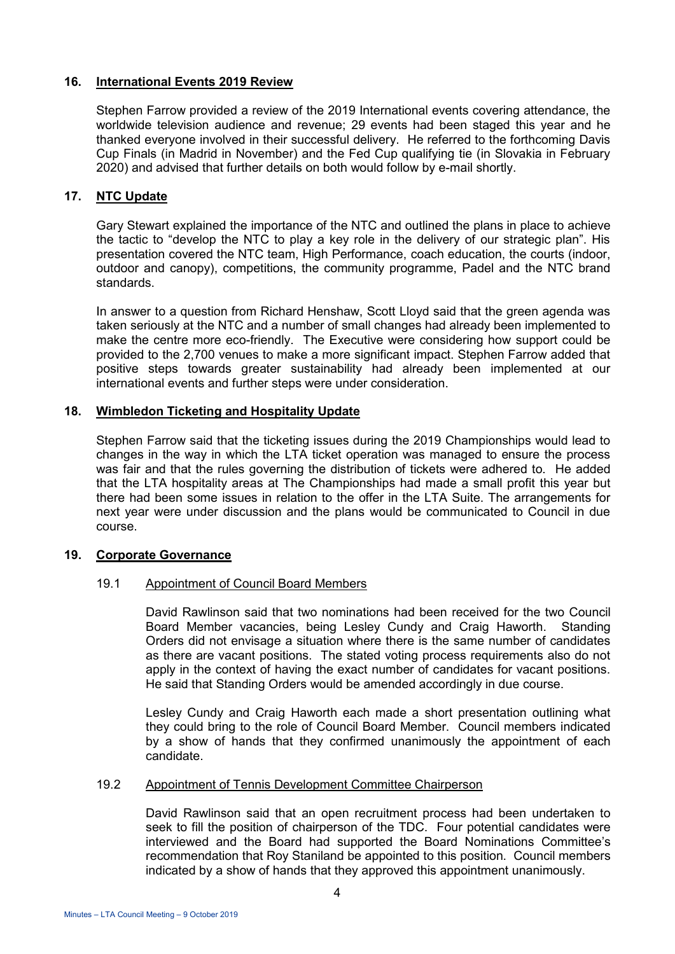## **16. International Events 2019 Review**

Stephen Farrow provided a review of the 2019 International events covering attendance, the worldwide television audience and revenue; 29 events had been staged this year and he thanked everyone involved in their successful delivery. He referred to the forthcoming Davis Cup Finals (in Madrid in November) and the Fed Cup qualifying tie (in Slovakia in February 2020) and advised that further details on both would follow by e-mail shortly.

# **17. NTC Update**

Gary Stewart explained the importance of the NTC and outlined the plans in place to achieve the tactic to "develop the NTC to play a key role in the delivery of our strategic plan". His presentation covered the NTC team, High Performance, coach education, the courts (indoor, outdoor and canopy), competitions, the community programme, Padel and the NTC brand standards.

In answer to a question from Richard Henshaw, Scott Lloyd said that the green agenda was taken seriously at the NTC and a number of small changes had already been implemented to make the centre more eco-friendly. The Executive were considering how support could be provided to the 2,700 venues to make a more significant impact. Stephen Farrow added that positive steps towards greater sustainability had already been implemented at our international events and further steps were under consideration.

#### **18. Wimbledon Ticketing and Hospitality Update**

Stephen Farrow said that the ticketing issues during the 2019 Championships would lead to changes in the way in which the LTA ticket operation was managed to ensure the process was fair and that the rules governing the distribution of tickets were adhered to. He added that the LTA hospitality areas at The Championships had made a small profit this year but there had been some issues in relation to the offer in the LTA Suite. The arrangements for next year were under discussion and the plans would be communicated to Council in due course.

# **19. Corporate Governance**

# 19.1 Appointment of Council Board Members

 David Rawlinson said that two nominations had been received for the two Council Board Member vacancies, being Lesley Cundy and Craig Haworth. Standing Orders did not envisage a situation where there is the same number of candidates as there are vacant positions. The stated voting process requirements also do not apply in the context of having the exact number of candidates for vacant positions. He said that Standing Orders would be amended accordingly in due course.

 Lesley Cundy and Craig Haworth each made a short presentation outlining what they could bring to the role of Council Board Member. Council members indicated by a show of hands that they confirmed unanimously the appointment of each candidate.

#### 19.2 Appointment of Tennis Development Committee Chairperson

 David Rawlinson said that an open recruitment process had been undertaken to seek to fill the position of chairperson of the TDC. Four potential candidates were interviewed and the Board had supported the Board Nominations Committee's recommendation that Roy Staniland be appointed to this position. Council members indicated by a show of hands that they approved this appointment unanimously.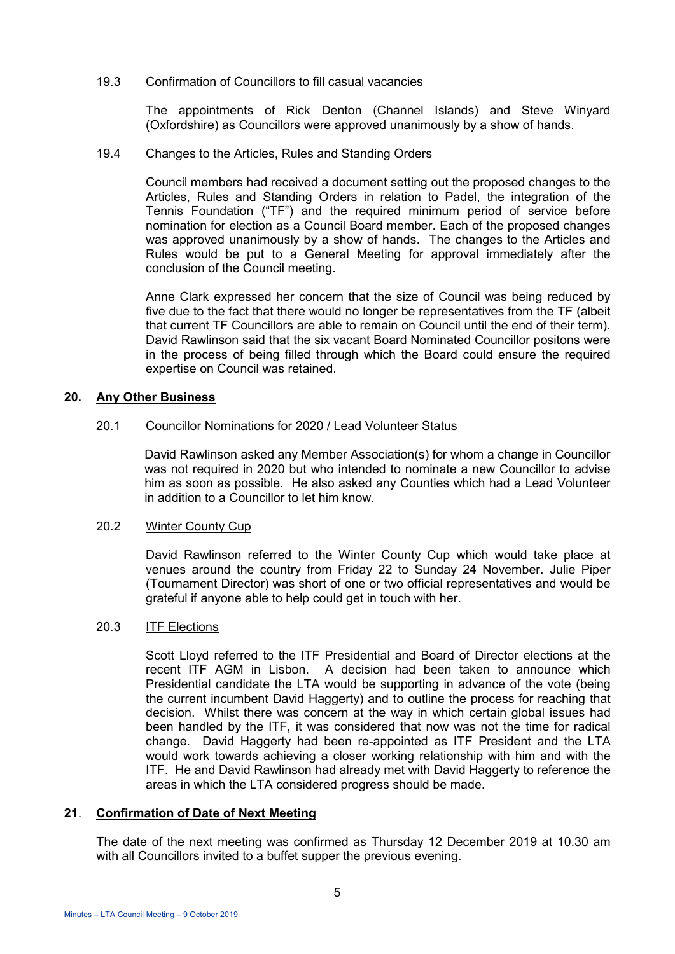## 19.3 Confirmation of Councillors to fill casual vacancies

 The appointments of Rick Denton (Channel Islands) and Steve Winyard (Oxfordshire) as Councillors were approved unanimously by a show of hands.

#### 19.4 Changes to the Articles, Rules and Standing Orders

 Council members had received a document setting out the proposed changes to the Articles, Rules and Standing Orders in relation to Padel, the integration of the Tennis Foundation ("TF") and the required minimum period of service before nomination for election as a Council Board member. Each of the proposed changes was approved unanimously by a show of hands. The changes to the Articles and Rules would be put to a General Meeting for approval immediately after the conclusion of the Council meeting.

 Anne Clark expressed her concern that the size of Council was being reduced by five due to the fact that there would no longer be representatives from the TF (albeit that current TF Councillors are able to remain on Council until the end of their term). David Rawlinson said that the six vacant Board Nominated Councillor positons were in the process of being filled through which the Board could ensure the required expertise on Council was retained.

# **20. Any Other Business**

#### 20.1 Councillor Nominations for 2020 / Lead Volunteer Status

David Rawlinson asked any Member Association(s) for whom a change in Councillor was not required in 2020 but who intended to nominate a new Councillor to advise him as soon as possible. He also asked any Counties which had a Lead Volunteer in addition to a Councillor to let him know.

#### 20.2 Winter County Cup

 David Rawlinson referred to the Winter County Cup which would take place at venues around the country from Friday 22 to Sunday 24 November. Julie Piper (Tournament Director) was short of one or two official representatives and would be grateful if anyone able to help could get in touch with her.

#### 20.3 ITF Elections

 Scott Lloyd referred to the ITF Presidential and Board of Director elections at the recent ITF AGM in Lisbon. A decision had been taken to announce which Presidential candidate the LTA would be supporting in advance of the vote (being the current incumbent David Haggerty) and to outline the process for reaching that decision. Whilst there was concern at the way in which certain global issues had been handled by the ITF, it was considered that now was not the time for radical change. David Haggerty had been re-appointed as ITF President and the LTA would work towards achieving a closer working relationship with him and with the ITF. He and David Rawlinson had already met with David Haggerty to reference the areas in which the LTA considered progress should be made.

# **21**. **Confirmation of Date of Next Meeting**

 The date of the next meeting was confirmed as Thursday 12 December 2019 at 10.30 am with all Councillors invited to a buffet supper the previous evening.